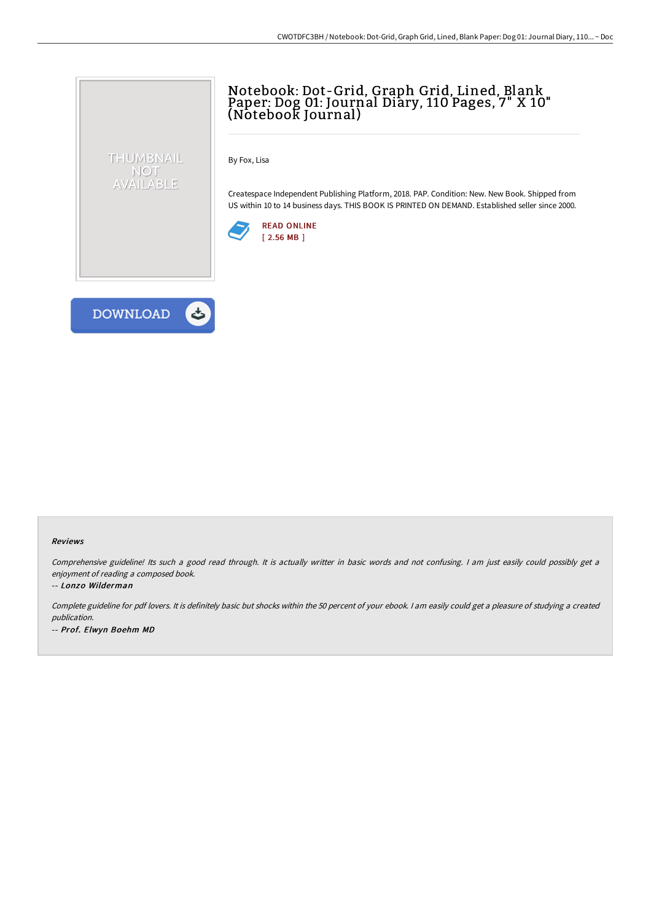# Notebook: Dot-Grid, Graph Grid, Lined, Blank Paper: Dog 01: Journal Diary, 110 Pages, 7" X 10" (Notebook Journal)

By Fox, Lisa

Createspace Independent Publishing Platform, 2018. PAP. Condition: New. New Book. Shipped from US within 10 to 14 business days. THIS BOOK IS PRINTED ON DEMAND. Established seller since 2000.





THUMBNAIL NOT<br>AVAILABLE

#### Reviews

Comprehensive guideline! Its such <sup>a</sup> good read through. It is actually writter in basic words and not confusing. <sup>I</sup> am just easily could possibly get <sup>a</sup> enjoyment of reading <sup>a</sup> composed book.

### -- Lonzo Wilderman

Complete guideline for pdf lovers. It is definitely basic but shocks within the <sup>50</sup> percent of your ebook. <sup>I</sup> am easily could get <sup>a</sup> pleasure of studying <sup>a</sup> created publication. -- Prof. Elwyn Boehm MD